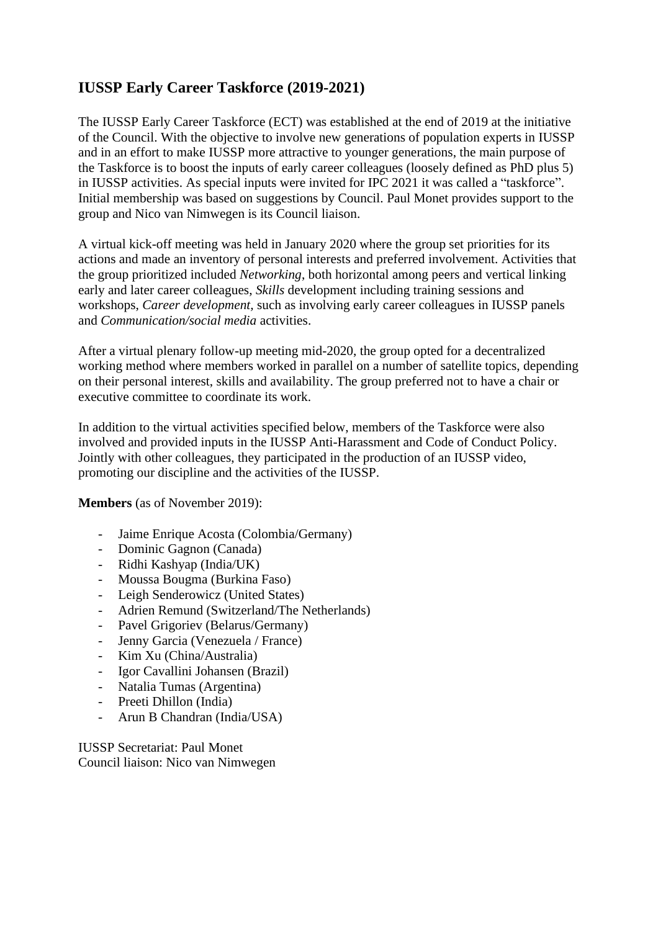# **IUSSP Early Career Taskforce (2019-2021)**

The IUSSP Early Career Taskforce (ECT) was established at the end of 2019 at the initiative of the Council. With the objective to involve new generations of population experts in IUSSP and in an effort to make IUSSP more attractive to younger generations, the main purpose of the Taskforce is to boost the inputs of early career colleagues (loosely defined as PhD plus 5) in IUSSP activities. As special inputs were invited for IPC 2021 it was called a "taskforce". Initial membership was based on suggestions by Council. Paul Monet provides support to the group and Nico van Nimwegen is its Council liaison.

A virtual kick-off meeting was held in January 2020 where the group set priorities for its actions and made an inventory of personal interests and preferred involvement. Activities that the group prioritized included *Networking*, both horizontal among peers and vertical linking early and later career colleagues, *Skills* development including training sessions and workshops, *Career development,* such as involving early career colleagues in IUSSP panels and *Communication/social media* activities.

After a virtual plenary follow-up meeting mid-2020, the group opted for a decentralized working method where members worked in parallel on a number of satellite topics, depending on their personal interest, skills and availability. The group preferred not to have a chair or executive committee to coordinate its work.

In addition to the virtual activities specified below, members of the Taskforce were also involved and provided inputs in the IUSSP Anti-Harassment and Code of Conduct Policy. Jointly with other colleagues, they participated in the production of an IUSSP video, promoting our discipline and the activities of the IUSSP.

**Members** (as of November 2019):

- Jaime Enrique Acosta (Colombia/Germany)
- Dominic Gagnon (Canada)
- Ridhi Kashyap (India/UK)
- Moussa Bougma (Burkina Faso)
- Leigh Senderowicz (United States)
- Adrien Remund (Switzerland/The Netherlands)
- Pavel Grigoriev (Belarus/Germany)
- Jenny Garcia (Venezuela / France)
- Kim Xu (China/Australia)
- Igor Cavallini Johansen (Brazil)
- Natalia Tumas (Argentina)
- Preeti Dhillon (India)
- Arun B Chandran (India/USA)

IUSSP Secretariat: Paul Monet Council liaison: Nico van Nimwegen